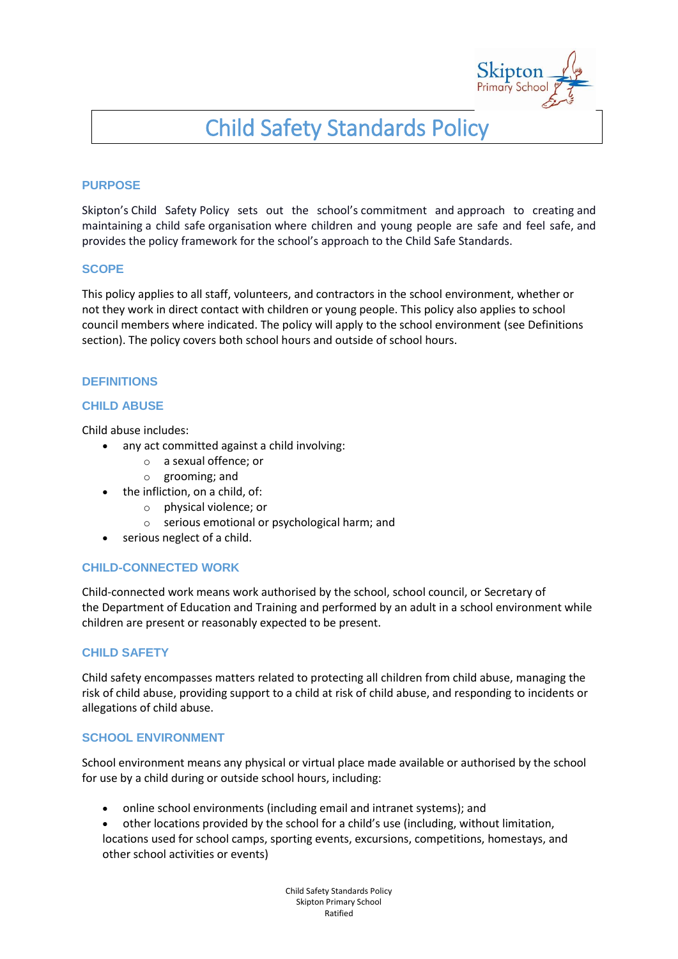

# Child Safety Standards Policy

#### **PURPOSE**

Skipton's Child Safety Policy sets out the school's commitment and approach to creating and maintaining a child safe organisation where children and young people are safe and feel safe, and provides the policy framework for the school's approach to the Child Safe Standards.

#### **SCOPE**

This policy applies to all staff, volunteers, and contractors in the school environment, whether or not they work in direct contact with children or young people. This policy also applies to school council members where indicated. The policy will apply to the school environment (see Definitions section). The policy covers both school hours and outside of school hours.

#### **DEFINITIONS**

## **CHILD ABUSE**

Child abuse includes:

- any act committed against a child involving:
	- o a sexual offence; or
	- o grooming; and
- the infliction, on a child, of:
	- o physical violence; or
	- o serious emotional or psychological harm; and
- serious neglect of a child.

#### **CHILD-CONNECTED WORK**

Child-connected work means work authorised by the school, school council, or Secretary of the Department of Education and Training and performed by an adult in a school environment while children are present or reasonably expected to be present.

## **CHILD SAFETY**

Child safety encompasses matters related to protecting all children from child abuse, managing the risk of child abuse, providing support to a child at risk of child abuse, and responding to incidents or allegations of child abuse.

#### **SCHOOL ENVIRONMENT**

School environment means any physical or virtual place made available or authorised by the school for use by a child during or outside school hours, including:

- online school environments (including email and intranet systems); and
- other locations provided by the school for a child's use (including, without limitation, locations used for school camps, sporting events, excursions, competitions, homestays, and other school activities or events)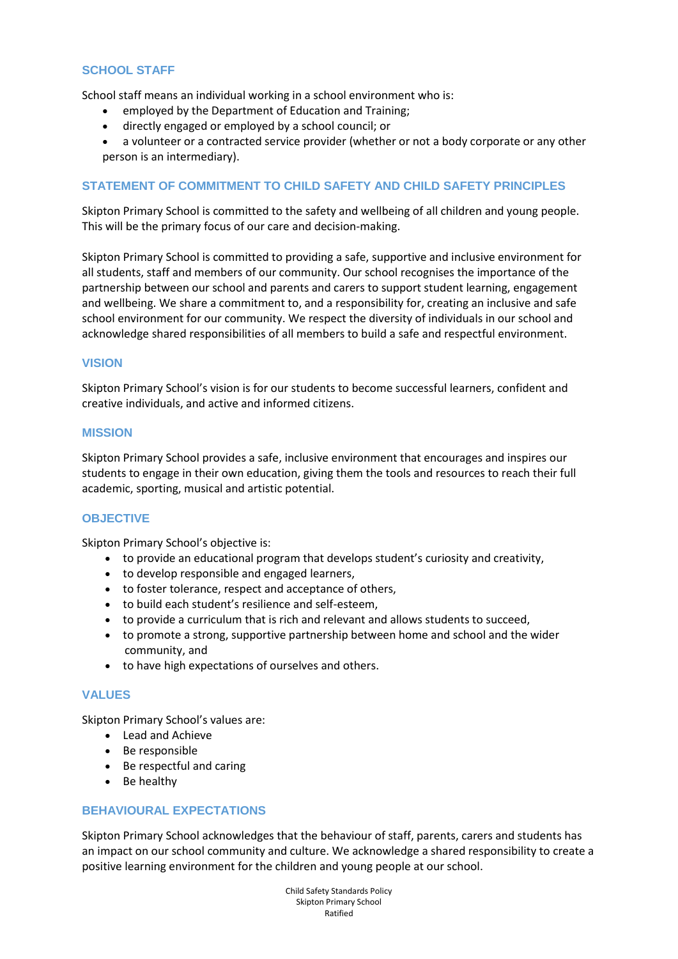#### **SCHOOL STAFF**

School staff means an individual working in a school environment who is:

- employed by the Department of Education and Training;
- directly engaged or employed by a school council; or
- a volunteer or a contracted service provider (whether or not a body corporate or any other person is an intermediary).

#### **STATEMENT OF COMMITMENT TO CHILD SAFETY AND CHILD SAFETY PRINCIPLES**

Skipton Primary School is committed to the safety and wellbeing of all children and young people. This will be the primary focus of our care and decision-making.

Skipton Primary School is committed to providing a safe, supportive and inclusive environment for all students, staff and members of our community. Our school recognises the importance of the partnership between our school and parents and carers to support student learning, engagement and wellbeing. We share a commitment to, and a responsibility for, creating an inclusive and safe school environment for our community. We respect the diversity of individuals in our school and acknowledge shared responsibilities of all members to build a safe and respectful environment.

#### **VISION**

Skipton Primary School's vision is for our students to become successful learners, confident and creative individuals, and active and informed citizens.

#### **MISSION**

Skipton Primary School provides a safe, inclusive environment that encourages and inspires our students to engage in their own education, giving them the tools and resources to reach their full academic, sporting, musical and artistic potential.

## **OBJECTIVE**

Skipton Primary School's objective is:

- to provide an educational program that develops student's curiosity and creativity,
- to develop responsible and engaged learners,
- to foster tolerance, respect and acceptance of others,
- to build each student's resilience and self-esteem,
- to provide a curriculum that is rich and relevant and allows students to succeed,
- to promote a strong, supportive partnership between home and school and the wider community, and
- to have high expectations of ourselves and others.

#### **VALUES**

Skipton Primary School's values are:

- Lead and Achieve
- Be responsible
- Be respectful and caring
- Be healthy

#### **BEHAVIOURAL EXPECTATIONS**

Skipton Primary School acknowledges that the behaviour of staff, parents, carers and students has an impact on our school community and culture. We acknowledge a shared responsibility to create a positive learning environment for the children and young people at our school.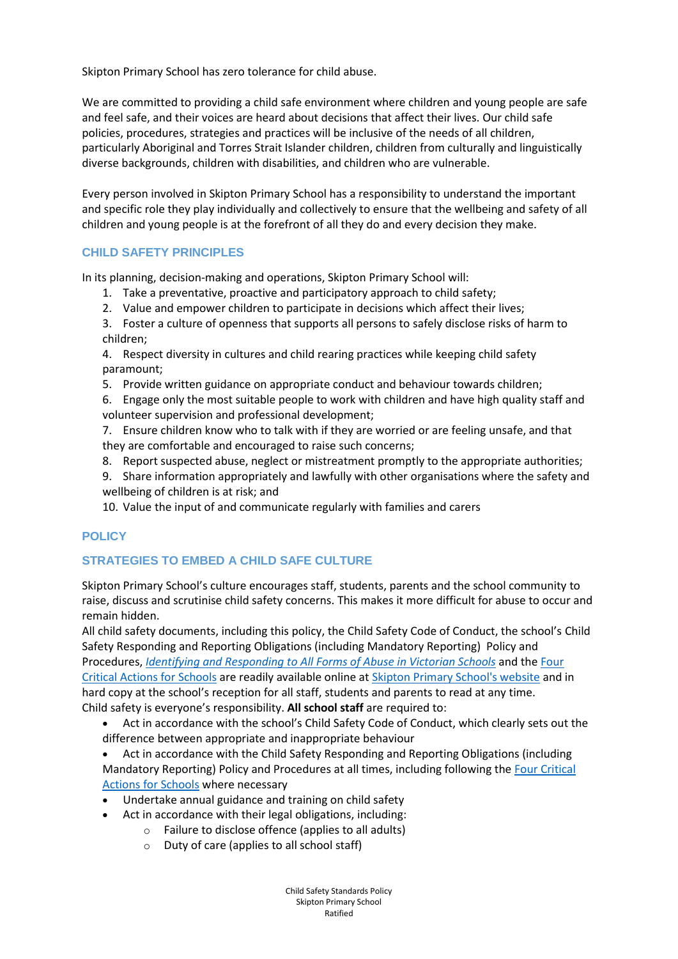Skipton Primary School has zero tolerance for child abuse.

We are committed to providing a child safe environment where children and young people are safe and feel safe, and their voices are heard about decisions that affect their lives. Our child safe policies, procedures, strategies and practices will be inclusive of the needs of all children, particularly Aboriginal and Torres Strait Islander children, children from culturally and linguistically diverse backgrounds, children with disabilities, and children who are vulnerable.

Every person involved in Skipton Primary School has a responsibility to understand the important and specific role they play individually and collectively to ensure that the wellbeing and safety of all children and young people is at the forefront of all they do and every decision they make.

## **CHILD SAFETY PRINCIPLES**

In its planning, decision-making and operations, Skipton Primary School will:

- 1. Take a preventative, proactive and participatory approach to child safety;
- 2. Value and empower children to participate in decisions which affect their lives;
- 3. Foster a culture of openness that supports all persons to safely disclose risks of harm to children;
- 4. Respect diversity in cultures and child rearing practices while keeping child safety paramount;
- 5. Provide written guidance on appropriate conduct and behaviour towards children;
- 6. Engage only the most suitable people to work with children and have high quality staff and volunteer supervision and professional development;
- 7. Ensure children know who to talk with if they are worried or are feeling unsafe, and that they are comfortable and encouraged to raise such concerns;
- 8. Report suspected abuse, neglect or mistreatment promptly to the appropriate authorities;
- 9. Share information appropriately and lawfully with other organisations where the safety and wellbeing of children is at risk; and
- 10. Value the input of and communicate regularly with families and carers

# **POLICY**

# **STRATEGIES TO EMBED A CHILD SAFE CULTURE**

Skipton Primary School's culture encourages staff, students, parents and the school community to raise, discuss and scrutinise child safety concerns. This makes it more difficult for abuse to occur and remain hidden.

All child safety documents, including this policy, the Child Safety Code of Conduct, the school's Child Safety Responding and Reporting Obligations (including Mandatory Reporting) Policy and Procedures, *[Identifying and Responding to All Forms of Abuse in Victorian Schools](https://www.education.vic.gov.au/Documents/about/programs/health/protect/ChildSafeStandard5_SchoolsGuide.pdf)* and the [Four](https://www.education.vic.gov.au/Documents/about/programs/health/protect/FourCriticalActions_ChildAbuse.pdf)  [Critical Actions for Schools](https://www.education.vic.gov.au/Documents/about/programs/health/protect/FourCriticalActions_ChildAbuse.pdf) are readily available online at [Skipton Primary School's website](http://www.skiptonps.vic.edu.au/) and in hard copy at the school's reception for all staff, students and parents to read at any time. Child safety is everyone's responsibility. **All school staff** are required to:

- Act in accordance with the school's Child Safety Code of Conduct, which clearly sets out the difference between appropriate and inappropriate behaviour
- Act in accordance with the Child Safety Responding and Reporting Obligations (including Mandatory Reporting) Policy and Procedures at all times, including following the [Four Critical](https://www.education.vic.gov.au/Documents/about/programs/health/protect/FourCriticalActions_ChildAbuse.pdf)  [Actions for Schools](https://www.education.vic.gov.au/Documents/about/programs/health/protect/FourCriticalActions_ChildAbuse.pdf) where necessary
- Undertake annual guidance and training on child safety
	- Act in accordance with their legal obligations, including:
		- Failure to disclose offence (applies to all adults)
		- o Duty of care (applies to all school staff)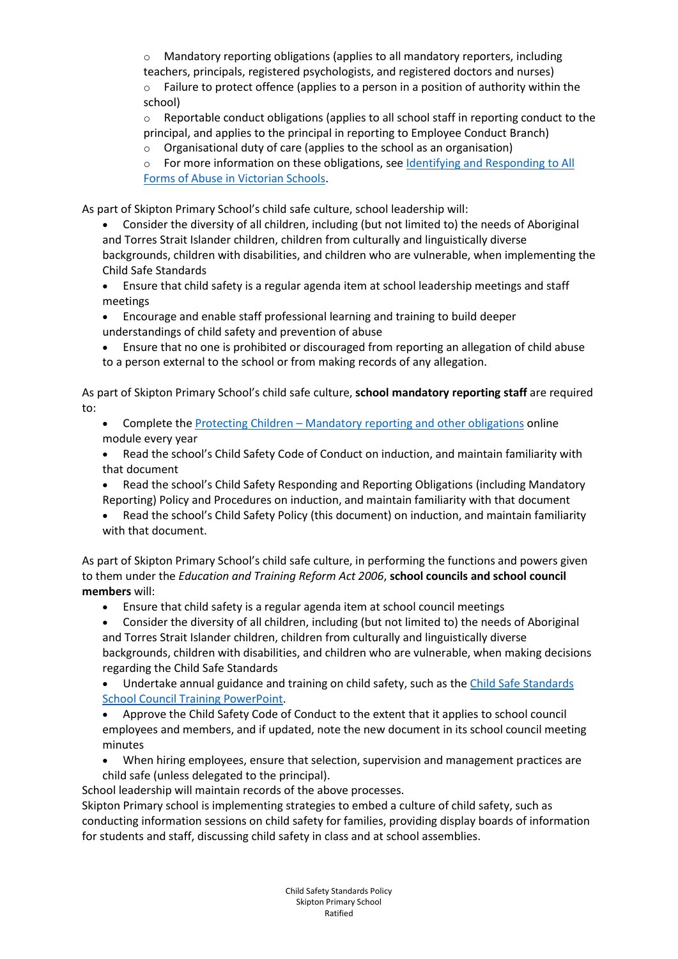$\circ$  Mandatory reporting obligations (applies to all mandatory reporters, including teachers, principals, registered psychologists, and registered doctors and nurses)

Failure to protect offence (applies to a person in a position of authority within the school)

 $\circ$  Reportable conduct obligations (applies to all school staff in reporting conduct to the principal, and applies to the principal in reporting to Employee Conduct Branch)

- o Organisational duty of care (applies to the school as an organisation)
- o For more information on these obligations, see Identifying and Responding to All [Forms of Abuse in Victorian Schools.](https://www.education.vic.gov.au/Documents/about/programs/health/protect/ChildSafeStandard5_SchoolsGuide.pdf)

As part of Skipton Primary School's child safe culture, school leadership will:

- Consider the diversity of all children, including (but not limited to) the needs of Aboriginal and Torres Strait Islander children, children from culturally and linguistically diverse backgrounds, children with disabilities, and children who are vulnerable, when implementing the Child Safe Standards
- Ensure that child safety is a regular agenda item at school leadership meetings and staff meetings
- Encourage and enable staff professional learning and training to build deeper understandings of child safety and prevention of abuse
- Ensure that no one is prohibited or discouraged from reporting an allegation of child abuse to a person external to the school or from making records of any allegation.

As part of Skipton Primary School's child safe culture, **school mandatory reporting staff** are required to:

- Complete the Protecting Children [Mandatory reporting and other obligations](http://elearn.com.au/det/protectingchildren/) online module every year
- Read the school's Child Safety Code of Conduct on induction, and maintain familiarity with that document
- Read the school's Child Safety Responding and Reporting Obligations (including Mandatory Reporting) Policy and Procedures on induction, and maintain familiarity with that document
- Read the school's Child Safety Policy (this document) on induction, and maintain familiarity with that document.

As part of Skipton Primary School's child safe culture, in performing the functions and powers given to them under the *Education and Training Reform Act 2006*, **school councils and school council members** will:

- Ensure that child safety is a regular agenda item at school council meetings
- Consider the diversity of all children, including (but not limited to) the needs of Aboriginal and Torres Strait Islander children, children from culturally and linguistically diverse backgrounds, children with disabilities, and children who are vulnerable, when making decisions regarding the Child Safe Standards
- Undertake annual guidance and training on child safety, such as the [Child Safe Standards](https://www.education.vic.gov.au/Documents/about/programs/health/protect/school-council-training.pptx)  [School Council Training](https://www.education.vic.gov.au/Documents/about/programs/health/protect/school-council-training.pptx) PowerPoint.

 Approve the Child Safety Code of Conduct to the extent that it applies to school council employees and members, and if updated, note the new document in its school council meeting minutes

 When hiring employees, ensure that selection, supervision and management practices are child safe (unless delegated to the principal).

School leadership will maintain records of the above processes.

Skipton Primary school is implementing strategies to embed a culture of child safety, such as conducting information sessions on child safety for families, providing display boards of information for students and staff, discussing child safety in class and at school assemblies.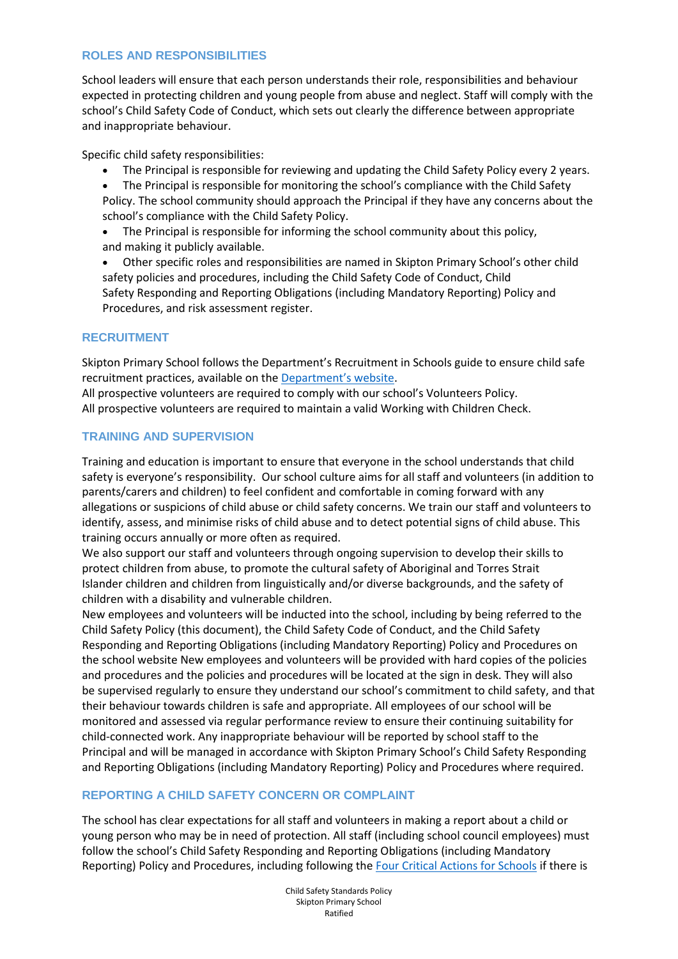## **ROLES AND RESPONSIBILITIES**

School leaders will ensure that each person understands their role, responsibilities and behaviour expected in protecting children and young people from abuse and neglect. Staff will comply with the school's Child Safety Code of Conduct, which sets out clearly the difference between appropriate and inappropriate behaviour.

Specific child safety responsibilities:

- The Principal is responsible for reviewing and updating the Child Safety Policy every 2 years.
- The Principal is responsible for monitoring the school's compliance with the Child Safety Policy. The school community should approach the Principal if they have any concerns about the school's compliance with the Child Safety Policy.
- The Principal is responsible for informing the school community about this policy, and making it publicly available.
- Other specific roles and responsibilities are named in Skipton Primary School's other child safety policies and procedures, including the Child Safety Code of Conduct, Child Safety Responding and Reporting Obligations (including Mandatory Reporting) Policy and Procedures, and risk assessment register.

## **RECRUITMENT**

Skipton Primary School follows the Department's Recruitment in Schools guide to ensure child safe recruitment practices, available on the [Department's website](https://www.education.vic.gov.au/hrweb/careers/Pages/recruitinsch.aspx).

All prospective volunteers are required to comply with our school's Volunteers Policy. All prospective volunteers are required to maintain a valid Working with Children Check.

## **TRAINING AND SUPERVISION**

Training and education is important to ensure that everyone in the school understands that child safety is everyone's responsibility. Our school culture aims for all staff and volunteers (in addition to parents/carers and children) to feel confident and comfortable in coming forward with any allegations or suspicions of child abuse or child safety concerns. We train our staff and volunteers to identify, assess, and minimise risks of child abuse and to detect potential signs of child abuse. This training occurs annually or more often as required.

We also support our staff and volunteers through ongoing supervision to develop their skills to protect children from abuse, to promote the cultural safety of Aboriginal and Torres Strait Islander children and children from linguistically and/or diverse backgrounds, and the safety of children with a disability and vulnerable children.

New employees and volunteers will be inducted into the school, including by being referred to the Child Safety Policy (this document), the Child Safety Code of Conduct, and the Child Safety Responding and Reporting Obligations (including Mandatory Reporting) Policy and Procedures on the school website New employees and volunteers will be provided with hard copies of the policies and procedures and the policies and procedures will be located at the sign in desk. They will also be supervised regularly to ensure they understand our school's commitment to child safety, and that their behaviour towards children is safe and appropriate. All employees of our school will be monitored and assessed via regular performance review to ensure their continuing suitability for child-connected work. Any inappropriate behaviour will be reported by school staff to the Principal and will be managed in accordance with Skipton Primary School's Child Safety Responding and Reporting Obligations (including Mandatory Reporting) Policy and Procedures where required.

## **REPORTING A CHILD SAFETY CONCERN OR COMPLAINT**

The school has clear expectations for all staff and volunteers in making a report about a child or young person who may be in need of protection. All staff (including school council employees) must follow the school's Child Safety Responding and Reporting Obligations (including Mandatory Reporting) Policy and Procedures, including following the [Four Critical Actions for Schools](https://www.education.vic.gov.au/Documents/about/programs/health/protect/FourCriticalActions_ChildAbuse.pdf) if there is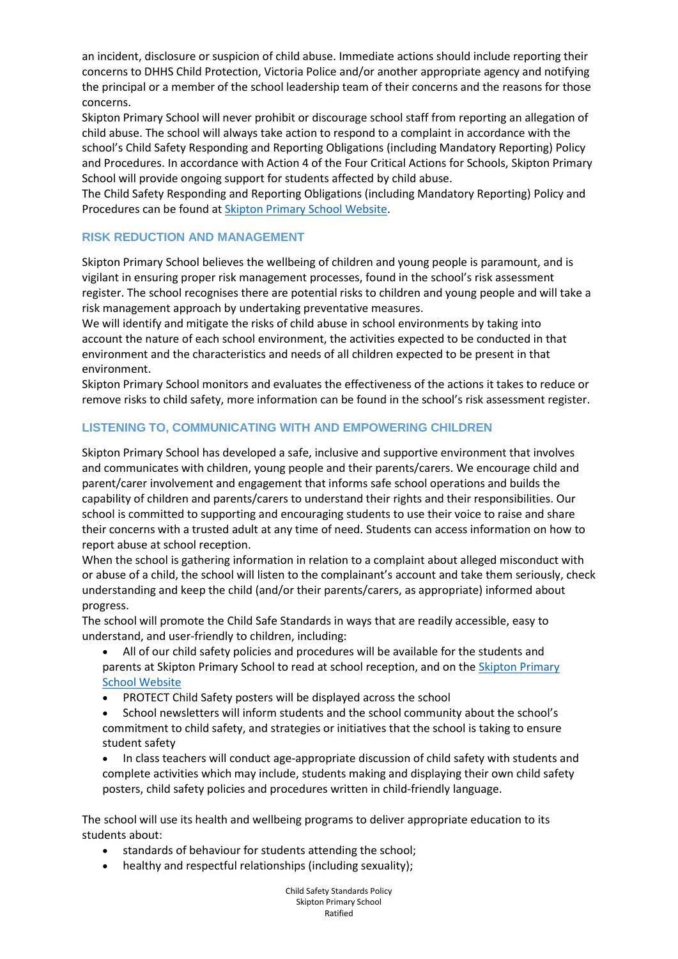an incident, disclosure or suspicion of child abuse. Immediate actions should include reporting their concerns to DHHS Child Protection, Victoria Police and/or another appropriate agency and notifying the principal or a member of the school leadership team of their concerns and the reasons for those concerns.

Skipton Primary School will never prohibit or discourage school staff from reporting an allegation of child abuse. The school will always take action to respond to a complaint in accordance with the school's Child Safety Responding and Reporting Obligations (including Mandatory Reporting) Policy and Procedures. In accordance with Action 4 of the Four Critical Actions for Schools, Skipton Primary School will provide ongoing support for students affected by child abuse.

The Child Safety Responding and Reporting Obligations (including Mandatory Reporting) Policy and Procedures can be found at [Skipton Primary School Website.](http://www.skiptonps.vic.edu.au/)

## **RISK REDUCTION AND MANAGEMENT**

Skipton Primary School believes the wellbeing of children and young people is paramount, and is vigilant in ensuring proper risk management processes, found in the school's risk assessment register. The school recognises there are potential risks to children and young people and will take a risk management approach by undertaking preventative measures.

We will identify and mitigate the risks of child abuse in school environments by taking into account the nature of each school environment, the activities expected to be conducted in that environment and the characteristics and needs of all children expected to be present in that environment.

Skipton Primary School monitors and evaluates the effectiveness of the actions it takes to reduce or remove risks to child safety, more information can be found in the school's risk assessment register.

# **LISTENING TO, COMMUNICATING WITH AND EMPOWERING CHILDREN**

Skipton Primary School has developed a safe, inclusive and supportive environment that involves and communicates with children, young people and their parents/carers. We encourage child and parent/carer involvement and engagement that informs safe school operations and builds the capability of children and parents/carers to understand their rights and their responsibilities. Our school is committed to supporting and encouraging students to use their voice to raise and share their concerns with a trusted adult at any time of need. Students can access information on how to report abuse at school reception.

When the school is gathering information in relation to a complaint about alleged misconduct with or abuse of a child, the school will listen to the complainant's account and take them seriously, check understanding and keep the child (and/or their parents/carers, as appropriate) informed about progress.

The school will promote the Child Safe Standards in ways that are readily accessible, easy to understand, and user-friendly to children, including:

- All of our child safety policies and procedures will be available for the students and parents at Skipton Primary School to read at school reception, and on the [Skipton Primary](http://www.skiptonps.vic.edu.au/)  [School Website](http://www.skiptonps.vic.edu.au/)
- PROTECT Child Safety posters will be displayed across the school
- School newsletters will inform students and the school community about the school's commitment to child safety, and strategies or initiatives that the school is taking to ensure student safety
- In class teachers will conduct age-appropriate discussion of child safety with students and complete activities which may include, students making and displaying their own child safety posters, child safety policies and procedures written in child-friendly language.

The school will use its health and wellbeing programs to deliver appropriate education to its students about:

- standards of behaviour for students attending the school;
- healthy and respectful relationships (including sexuality);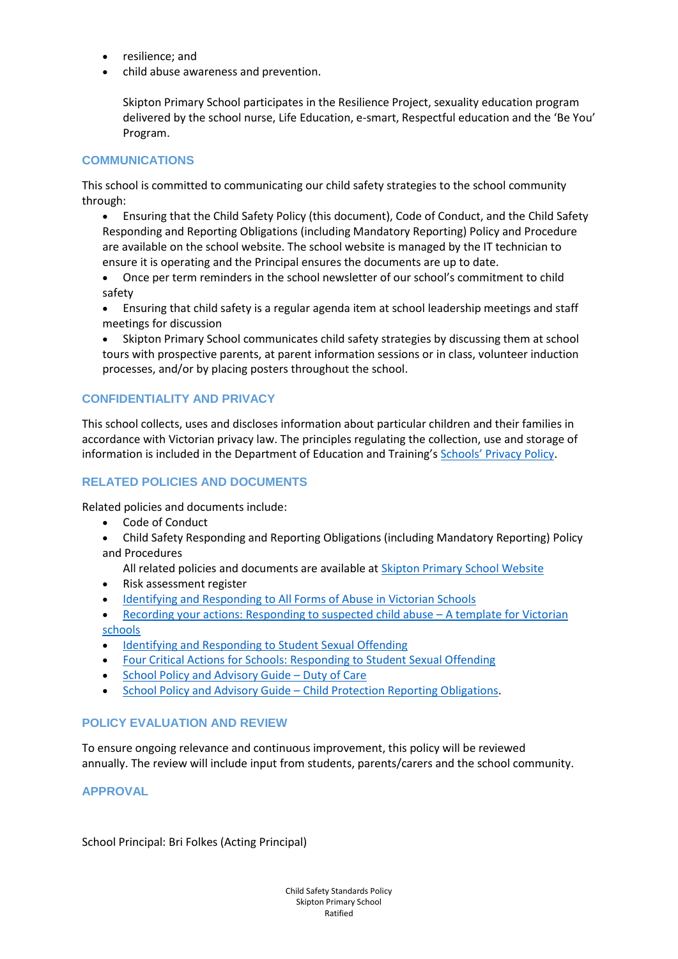- resilience; and
- child abuse awareness and prevention.

Skipton Primary School participates in the Resilience Project, sexuality education program delivered by the school nurse, Life Education, e-smart, Respectful education and the 'Be You' Program.

# **COMMUNICATIONS**

This school is committed to communicating our child safety strategies to the school community through:

- Ensuring that the Child Safety Policy (this document), Code of Conduct, and the Child Safety Responding and Reporting Obligations (including Mandatory Reporting) Policy and Procedure are available on the school website. The school website is managed by the IT technician to ensure it is operating and the Principal ensures the documents are up to date.
- Once per term reminders in the school newsletter of our school's commitment to child safety
- Ensuring that child safety is a regular agenda item at school leadership meetings and staff meetings for discussion
- Skipton Primary School communicates child safety strategies by discussing them at school tours with prospective parents, at parent information sessions or in class, volunteer induction processes, and/or by placing posters throughout the school.

# **CONFIDENTIALITY AND PRIVACY**

This school collects, uses and discloses information about particular children and their families in accordance with Victorian privacy law. The principles regulating the collection, use and storage of information is included in the Department of Education and Training's Schools' [Privacy Policy.](https://www.education.vic.gov.au/Pages/schoolsprivacypolicy.aspx)

# **RELATED POLICIES AND DOCUMENTS**

Related policies and documents include:

- Code of Conduct
- Child Safety Responding and Reporting Obligations (including Mandatory Reporting) Policy and Procedures

All related policies and documents are available at [Skipton Primary School Website](http://www.skiptonps.vic.edu.au/)

- Risk assessment register
- [Identifying and Responding to All Forms of Abuse in Victorian Schools](https://www.education.vic.gov.au/Documents/about/programs/health/protect/ChildSafeStandard5_SchoolsGuide.pdf)
- [Recording your actions: Responding to suspected child abuse](https://www.education.vic.gov.au/Documents/about/programs/health/protect/PROTECT_Schoolstemplate.pdf)  A template for Victorian [schools](https://www.education.vic.gov.au/Documents/about/programs/health/protect/PROTECT_Schoolstemplate.pdf)
- [Identifying and Responding to Student Sexual Offending](https://www.education.vic.gov.au/Documents/about/programs/health/protect/SSO_Policy.pdf)
- [Four Critical Actions for Schools: Responding to Student Sexual Offending](https://www.education.vic.gov.au/Documents/about/programs/health/protect/FourCriticalActions_SSO.pdf)
- [School Policy and Advisory Guide](https://www.education.vic.gov.au/school/principals/spag/safety/Pages/dutyofcare.aspx)  Duty of Care
- School Policy and Advisory Guide [Child Protection Reporting Obligations.](https://www.education.vic.gov.au/school/principals/spag/safety/Pages/childprotectobligation.aspx)

## **POLICY EVALUATION AND REVIEW**

To ensure ongoing relevance and continuous improvement, this policy will be reviewed annually. The review will include input from students, parents/carers and the school community.

**APPROVAL**

School Principal: Bri Folkes (Acting Principal)